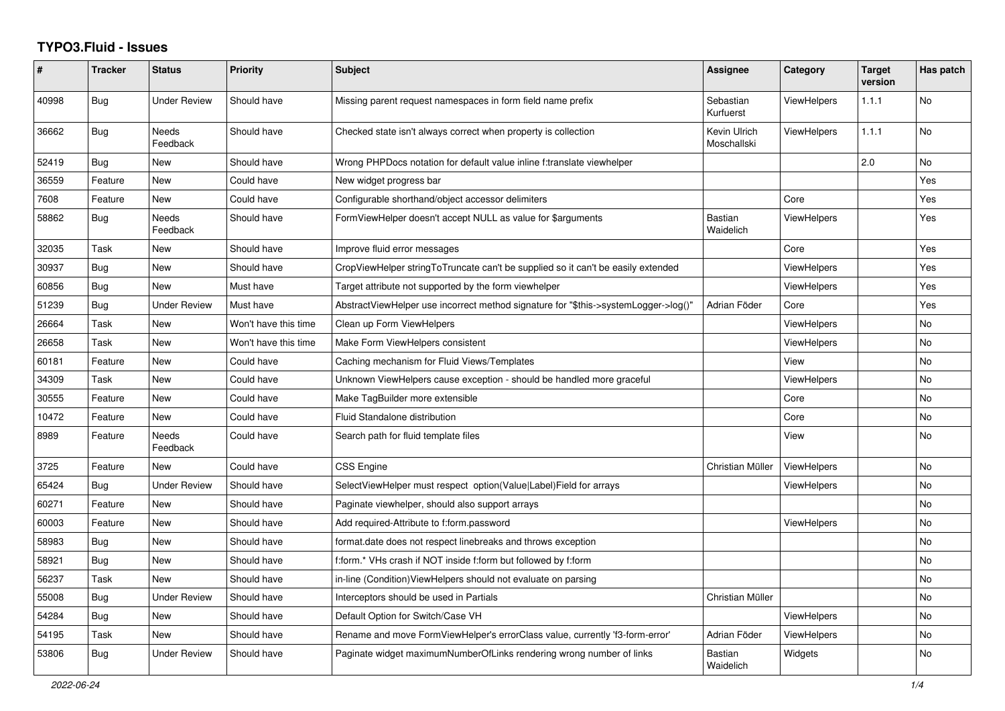## **TYPO3.Fluid - Issues**

| #     | <b>Tracker</b> | <b>Status</b>            | <b>Priority</b>      | Subject                                                                             | Assignee                    | Category           | <b>Target</b><br>version | Has patch |
|-------|----------------|--------------------------|----------------------|-------------------------------------------------------------------------------------|-----------------------------|--------------------|--------------------------|-----------|
| 40998 | Bug            | <b>Under Review</b>      | Should have          | Missing parent request namespaces in form field name prefix                         | Sebastian<br>Kurfuerst      | <b>ViewHelpers</b> | 1.1.1                    | No        |
| 36662 | <b>Bug</b>     | Needs<br>Feedback        | Should have          | Checked state isn't always correct when property is collection                      | Kevin Ulrich<br>Moschallski | <b>ViewHelpers</b> | 1.1.1                    | No        |
| 52419 | Bug            | New                      | Should have          | Wrong PHPDocs notation for default value inline f:translate viewhelper              |                             |                    | 2.0                      | No        |
| 36559 | Feature        | New                      | Could have           | New widget progress bar                                                             |                             |                    |                          | Yes       |
| 7608  | Feature        | New                      | Could have           | Configurable shorthand/object accessor delimiters                                   |                             | Core               |                          | Yes       |
| 58862 | Bug            | <b>Needs</b><br>Feedback | Should have          | FormViewHelper doesn't accept NULL as value for \$arguments                         | <b>Bastian</b><br>Waidelich | <b>ViewHelpers</b> |                          | Yes       |
| 32035 | Task           | New                      | Should have          | Improve fluid error messages                                                        |                             | Core               |                          | Yes       |
| 30937 | Bug            | New                      | Should have          | CropViewHelper stringToTruncate can't be supplied so it can't be easily extended    |                             | ViewHelpers        |                          | Yes       |
| 60856 | Bug            | <b>New</b>               | Must have            | Target attribute not supported by the form viewhelper                               |                             | <b>ViewHelpers</b> |                          | Yes       |
| 51239 | Bug            | <b>Under Review</b>      | Must have            | AbstractViewHelper use incorrect method signature for "\$this->systemLogger->log()" | Adrian Föder                | Core               |                          | Yes       |
| 26664 | Task           | New                      | Won't have this time | Clean up Form ViewHelpers                                                           |                             | <b>ViewHelpers</b> |                          | No        |
| 26658 | Task           | New                      | Won't have this time | Make Form ViewHelpers consistent                                                    |                             | <b>ViewHelpers</b> |                          | No        |
| 60181 | Feature        | New                      | Could have           | Caching mechanism for Fluid Views/Templates                                         |                             | View               |                          | No        |
| 34309 | Task           | New                      | Could have           | Unknown ViewHelpers cause exception - should be handled more graceful               |                             | ViewHelpers        |                          | No        |
| 30555 | Feature        | New                      | Could have           | Make TagBuilder more extensible                                                     |                             | Core               |                          | No        |
| 10472 | Feature        | <b>New</b>               | Could have           | Fluid Standalone distribution                                                       |                             | Core               |                          | No.       |
| 8989  | Feature        | <b>Needs</b><br>Feedback | Could have           | Search path for fluid template files                                                |                             | View               |                          | No        |
| 3725  | Feature        | New                      | Could have           | CSS Engine                                                                          | Christian Müller            | ViewHelpers        |                          | No        |
| 65424 | Bug            | <b>Under Review</b>      | Should have          | SelectViewHelper must respect option(Value Label)Field for arrays                   |                             | ViewHelpers        |                          | No        |
| 60271 | Feature        | New                      | Should have          | Paginate viewhelper, should also support arrays                                     |                             |                    |                          | No        |
| 60003 | Feature        | New                      | Should have          | Add required-Attribute to f:form.password                                           |                             | <b>ViewHelpers</b> |                          | No        |
| 58983 | Bug            | <b>New</b>               | Should have          | format.date does not respect linebreaks and throws exception                        |                             |                    |                          | No        |
| 58921 | Bug            | <b>New</b>               | Should have          | f:form.* VHs crash if NOT inside f:form but followed by f:form                      |                             |                    |                          | No        |
| 56237 | Task           | New                      | Should have          | in-line (Condition) View Helpers should not evaluate on parsing                     |                             |                    |                          | No.       |
| 55008 | <b>Bug</b>     | Under Review             | Should have          | Interceptors should be used in Partials                                             | Christian Müller            |                    |                          | No        |
| 54284 | <b>Bug</b>     | New                      | Should have          | Default Option for Switch/Case VH                                                   |                             | <b>ViewHelpers</b> |                          | No        |
| 54195 | Task           | New                      | Should have          | Rename and move FormViewHelper's errorClass value, currently 'f3-form-error'        | Adrian Föder                | <b>ViewHelpers</b> |                          | No        |
| 53806 | Bug            | <b>Under Review</b>      | Should have          | Paginate widget maximumNumberOfLinks rendering wrong number of links                | <b>Bastian</b><br>Waidelich | Widgets            |                          | No.       |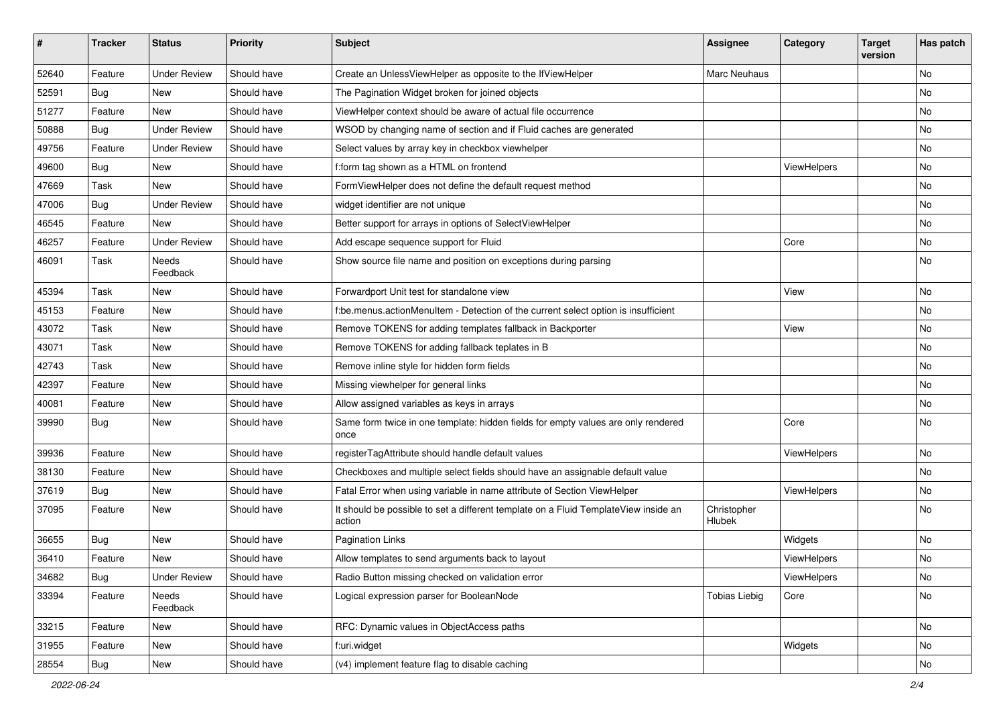| #     | <b>Tracker</b> | <b>Status</b>            | <b>Priority</b> | Subject                                                                                       | <b>Assignee</b>       | Category    | <b>Target</b><br>version | Has patch |
|-------|----------------|--------------------------|-----------------|-----------------------------------------------------------------------------------------------|-----------------------|-------------|--------------------------|-----------|
| 52640 | Feature        | <b>Under Review</b>      | Should have     | Create an UnlessViewHelper as opposite to the IfViewHelper                                    | Marc Neuhaus          |             |                          | <b>No</b> |
| 52591 | Bug            | New                      | Should have     | The Pagination Widget broken for joined objects                                               |                       |             |                          | No        |
| 51277 | Feature        | New                      | Should have     | ViewHelper context should be aware of actual file occurrence                                  |                       |             |                          | No        |
| 50888 | Bug            | <b>Under Review</b>      | Should have     | WSOD by changing name of section and if Fluid caches are generated                            |                       |             |                          | <b>No</b> |
| 49756 | Feature        | <b>Under Review</b>      | Should have     | Select values by array key in checkbox viewhelper                                             |                       |             |                          | No        |
| 49600 | Bug            | New                      | Should have     | f:form tag shown as a HTML on frontend                                                        |                       | ViewHelpers |                          | <b>No</b> |
| 47669 | Task           | New                      | Should have     | FormViewHelper does not define the default request method                                     |                       |             |                          | No        |
| 47006 | Bug            | <b>Under Review</b>      | Should have     | widget identifier are not unique                                                              |                       |             |                          | No        |
| 46545 | Feature        | New                      | Should have     | Better support for arrays in options of SelectViewHelper                                      |                       |             |                          | No        |
| 46257 | Feature        | <b>Under Review</b>      | Should have     | Add escape sequence support for Fluid                                                         |                       | Core        |                          | No        |
| 46091 | Task           | <b>Needs</b><br>Feedback | Should have     | Show source file name and position on exceptions during parsing                               |                       |             |                          | No        |
| 45394 | Task           | New                      | Should have     | Forwardport Unit test for standalone view                                                     |                       | View        |                          | No        |
| 45153 | Feature        | <b>New</b>               | Should have     | f:be.menus.actionMenuItem - Detection of the current select option is insufficient            |                       |             |                          | <b>No</b> |
| 43072 | Task           | New                      | Should have     | Remove TOKENS for adding templates fallback in Backporter                                     |                       | View        |                          | No        |
| 43071 | Task           | New                      | Should have     | Remove TOKENS for adding fallback teplates in B                                               |                       |             |                          | No        |
| 42743 | Task           | <b>New</b>               | Should have     | Remove inline style for hidden form fields                                                    |                       |             |                          | <b>No</b> |
| 42397 | Feature        | New                      | Should have     | Missing viewhelper for general links                                                          |                       |             |                          | No        |
| 40081 | Feature        | New                      | Should have     | Allow assigned variables as keys in arrays                                                    |                       |             |                          | No        |
| 39990 | Bug            | New                      | Should have     | Same form twice in one template: hidden fields for empty values are only rendered<br>once     |                       | Core        |                          | No        |
| 39936 | Feature        | New                      | Should have     | registerTagAttribute should handle default values                                             |                       | ViewHelpers |                          | <b>No</b> |
| 38130 | Feature        | New                      | Should have     | Checkboxes and multiple select fields should have an assignable default value                 |                       |             |                          | No        |
| 37619 | Bug            | New                      | Should have     | Fatal Error when using variable in name attribute of Section ViewHelper                       |                       | ViewHelpers |                          | No        |
| 37095 | Feature        | New                      | Should have     | It should be possible to set a different template on a Fluid TemplateView inside an<br>action | Christopher<br>Hlubek |             |                          | <b>No</b> |
| 36655 | Bug            | New                      | Should have     | <b>Pagination Links</b>                                                                       |                       | Widgets     |                          | <b>No</b> |
| 36410 | Feature        | New                      | Should have     | Allow templates to send arguments back to layout                                              |                       | ViewHelpers |                          | No        |
| 34682 | <b>Bug</b>     | <b>Under Review</b>      | Should have     | Radio Button missing checked on validation error                                              |                       | ViewHelpers |                          | No        |
| 33394 | Feature        | Needs<br>Feedback        | Should have     | Logical expression parser for BooleanNode                                                     | <b>Tobias Liebig</b>  | Core        |                          | No        |
| 33215 | Feature        | New                      | Should have     | RFC: Dynamic values in ObjectAccess paths                                                     |                       |             |                          | No        |
| 31955 | Feature        | New                      | Should have     | f:uri.widget                                                                                  |                       | Widgets     |                          | No        |
| 28554 | Bug            | New                      | Should have     | (v4) implement feature flag to disable caching                                                |                       |             |                          | No        |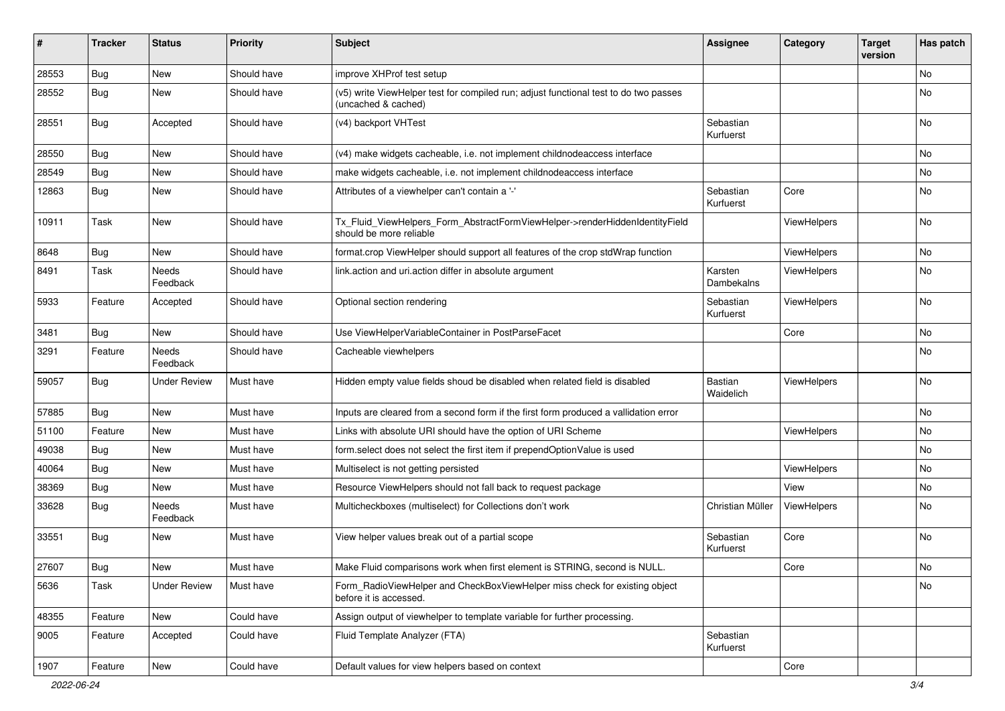| #     | <b>Tracker</b> | <b>Status</b>     | <b>Priority</b> | Subject                                                                                                     | <b>Assignee</b>        | Category    | <b>Target</b><br>version | Has patch |
|-------|----------------|-------------------|-----------------|-------------------------------------------------------------------------------------------------------------|------------------------|-------------|--------------------------|-----------|
| 28553 | Bug            | New               | Should have     | improve XHProf test setup                                                                                   |                        |             |                          | No        |
| 28552 | Bug            | New               | Should have     | (v5) write ViewHelper test for compiled run; adjust functional test to do two passes<br>(uncached & cached) |                        |             |                          | No        |
| 28551 | <b>Bug</b>     | Accepted          | Should have     | (v4) backport VHTest                                                                                        | Sebastian<br>Kurfuerst |             |                          | No        |
| 28550 | Bug            | New               | Should have     | (v4) make widgets cacheable, i.e. not implement childnodeaccess interface                                   |                        |             |                          | No        |
| 28549 | Bug            | New               | Should have     | make widgets cacheable, i.e. not implement childnodeaccess interface                                        |                        |             |                          | No        |
| 12863 | Bug            | New               | Should have     | Attributes of a viewhelper can't contain a '-'                                                              | Sebastian<br>Kurfuerst | Core        |                          | No        |
| 10911 | Task           | New               | Should have     | Tx_Fluid_ViewHelpers_Form_AbstractFormViewHelper->renderHiddenIdentityField<br>should be more reliable      |                        | ViewHelpers |                          | No        |
| 8648  | Bug            | New               | Should have     | format.crop ViewHelper should support all features of the crop stdWrap function                             |                        | ViewHelpers |                          | No        |
| 8491  | Task           | Needs<br>Feedback | Should have     | link.action and uri.action differ in absolute argument                                                      | Karsten<br>Dambekalns  | ViewHelpers |                          | No        |
| 5933  | Feature        | Accepted          | Should have     | Optional section rendering                                                                                  | Sebastian<br>Kurfuerst | ViewHelpers |                          | <b>No</b> |
| 3481  | Bug            | New               | Should have     | Use ViewHelperVariableContainer in PostParseFacet                                                           |                        | Core        |                          | No        |
| 3291  | Feature        | Needs<br>Feedback | Should have     | Cacheable viewhelpers                                                                                       |                        |             |                          | No        |
| 59057 | <b>Bug</b>     | Under Review      | Must have       | Hidden empty value fields shoud be disabled when related field is disabled                                  | Bastian<br>Waidelich   | ViewHelpers |                          | No        |
| 57885 | Bug            | New               | Must have       | Inputs are cleared from a second form if the first form produced a vallidation error                        |                        |             |                          | No        |
| 51100 | Feature        | New               | Must have       | Links with absolute URI should have the option of URI Scheme                                                |                        | ViewHelpers |                          | No        |
| 49038 | Bug            | New               | Must have       | form.select does not select the first item if prependOptionValue is used                                    |                        |             |                          | No        |
| 40064 | Bug            | New               | Must have       | Multiselect is not getting persisted                                                                        |                        | ViewHelpers |                          | No        |
| 38369 | Bug            | New               | Must have       | Resource ViewHelpers should not fall back to request package                                                |                        | View        |                          | No        |
| 33628 | Bug            | Needs<br>Feedback | Must have       | Multicheckboxes (multiselect) for Collections don't work                                                    | Christian Müller       | ViewHelpers |                          | <b>No</b> |
| 33551 | Bug            | New               | Must have       | View helper values break out of a partial scope                                                             | Sebastian<br>Kurfuerst | Core        |                          | <b>No</b> |
| 27607 | i Bug          | New               | Must have       | Make Fluid comparisons work when first element is STRING, second is NULL                                    |                        | Core        |                          | No        |
| 5636  | Task           | Under Review      | Must have       | Form_RadioViewHelper and CheckBoxViewHelper miss check for existing object<br>before it is accessed.        |                        |             |                          | No        |
| 48355 | Feature        | New               | Could have      | Assign output of viewhelper to template variable for further processing.                                    |                        |             |                          |           |
| 9005  | Feature        | Accepted          | Could have      | Fluid Template Analyzer (FTA)                                                                               | Sebastian<br>Kurfuerst |             |                          |           |
| 1907  | Feature        | New               | Could have      | Default values for view helpers based on context                                                            |                        | Core        |                          |           |